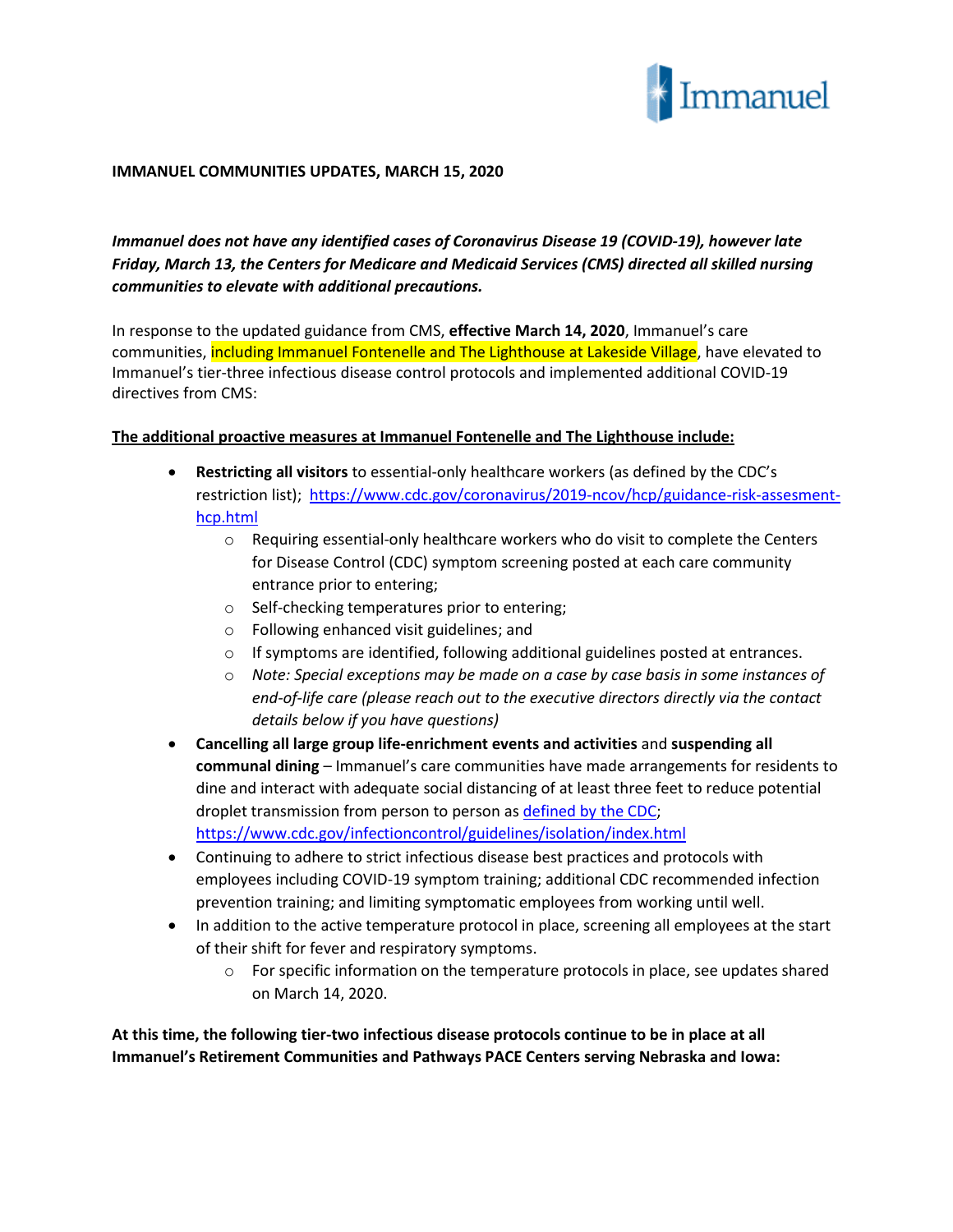

## **IMMANUEL COMMUNITIES UPDATES, MARCH 15, 2020**

*Immanuel does not have any identified cases of Coronavirus Disease 19 (COVID-19), however late Friday, March 13, the Centers for Medicare and Medicaid Services (CMS) directed all skilled nursing communities to elevate with additional precautions.*

In response to the updated guidance from CMS, **effective March 14, 2020**, Immanuel's care communities, including Immanuel Fontenelle and The Lighthouse at Lakeside Village, have elevated to Immanuel's tier-three infectious disease control protocols and implemented additional COVID-19 directives from CMS:

## **The additional proactive measures at Immanuel Fontenelle and The Lighthouse include:**

- **Restricting all visitors** to essential-only healthcare workers (as defined by the CDC's restriction list); [https://www.cdc.gov/coronavirus/2019-ncov/hcp/guidance-risk-assesment](https://www.cdc.gov/coronavirus/2019-ncov/hcp/guidance-risk-assesment-hcp.html)[hcp.html](https://www.cdc.gov/coronavirus/2019-ncov/hcp/guidance-risk-assesment-hcp.html)
	- o Requiring essential-only healthcare workers who do visit to complete the Centers for Disease Control (CDC) symptom screening posted at each care community entrance prior to entering;
	- o Self-checking temperatures prior to entering;
	- o Following enhanced visit guidelines; and
	- $\circ$  If symptoms are identified, following additional guidelines posted at entrances.
	- o *Note: Special exceptions may be made on a case by case basis in some instances of end-of-life care (please reach out to the executive directors directly via the contact details below if you have questions)*
- **Cancelling all large group life-enrichment events and activities** and **suspending all communal dining** – Immanuel's care communities have made arrangements for residents to dine and interact with adequate social distancing of at least three feet to reduce potential droplet transmission from person to person as [defined by the CDC;](https://www.cdc.gov/infectioncontrol/guidelines/isolation/index.html) <https://www.cdc.gov/infectioncontrol/guidelines/isolation/index.html>
- Continuing to adhere to strict infectious disease best practices and protocols with employees including COVID-19 symptom training; additional CDC recommended infection prevention training; and limiting symptomatic employees from working until well.
- In addition to the active temperature protocol in place, screening all employees at the start of their shift for fever and respiratory symptoms.
	- $\circ$  For specific information on the temperature protocols in place, see updates shared on March 14, 2020.

**At this time, the following tier-two infectious disease protocols continue to be in place at all Immanuel's Retirement Communities and Pathways PACE Centers serving Nebraska and Iowa:**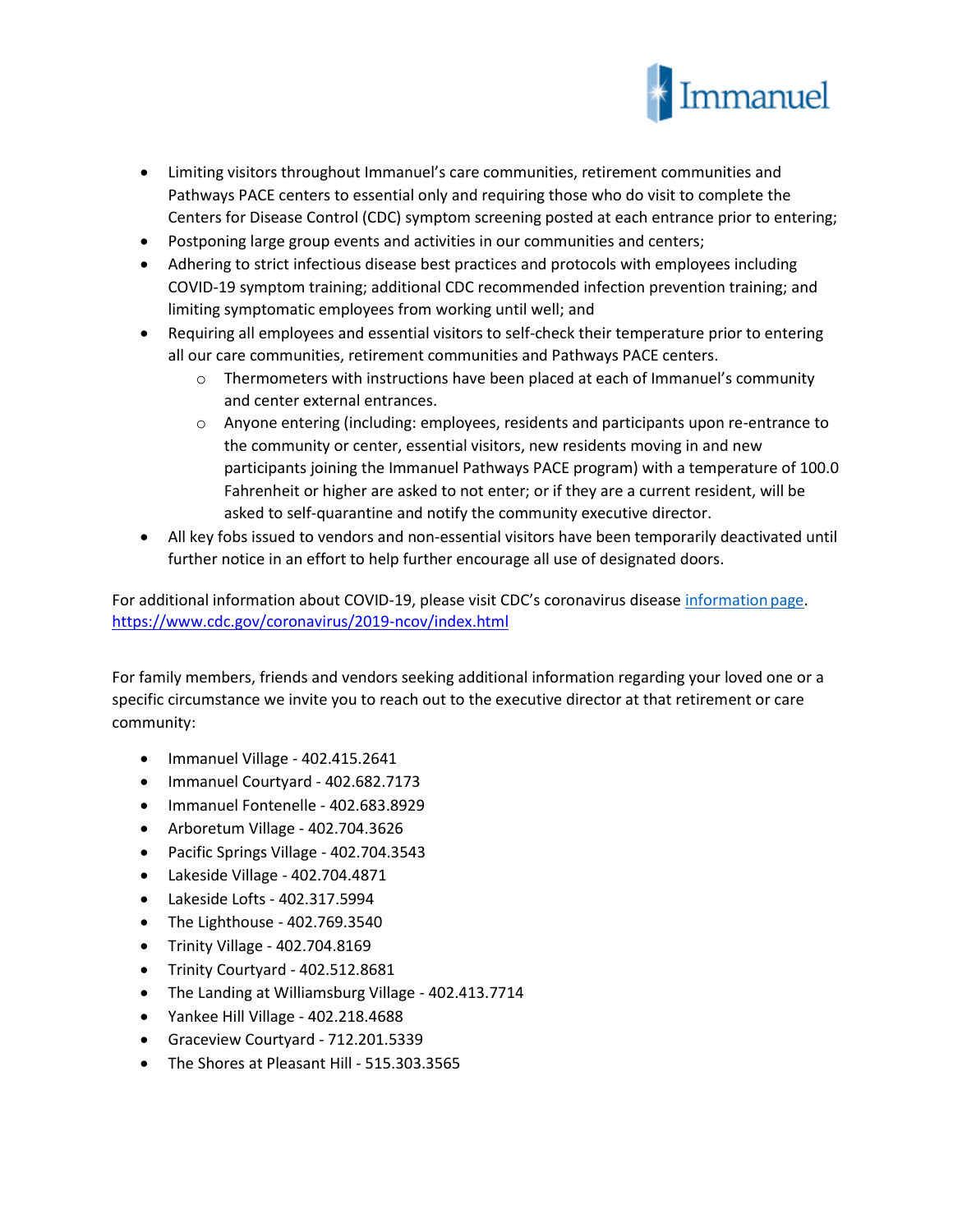

- Limiting visitors throughout Immanuel's care communities, retirement communities and Pathways PACE centers to essential only and requiring those who do visit to complete the Centers for Disease Control (CDC) symptom screening posted at each entrance prior to entering;
- Postponing large group events and activities in our communities and centers;
- Adhering to strict infectious disease best practices and protocols with employees including COVID-19 symptom training; additional CDC recommended infection prevention training; and limiting symptomatic employees from working until well; and
- Requiring all employees and essential visitors to self-check their temperature prior to entering all our care communities, retirement communities and Pathways PACE centers.
	- $\circ$  Thermometers with instructions have been placed at each of Immanuel's community and center external entrances.
	- $\circ$  Anyone entering (including: employees, residents and participants upon re-entrance to the community or center, essential visitors, new residents moving in and new participants joining the Immanuel Pathways PACE program) with a temperature of 100.0 Fahrenheit or higher are asked to not enter; or if they are a current resident, will be asked to self-quarantine and notify the community executive director.
- All key fobs issued to vendors and non-essential visitors have been temporarily deactivated until further notice in an effort to help further encourage all use of designated doors.

For additional information about COVID-19, please visit [CDC's coronavirus disease](https://www.cdc.gov/coronavirus/2019-ncov/index.html) information page. <https://www.cdc.gov/coronavirus/2019-ncov/index.html>

For family members, friends and vendors seeking additional information regarding your loved one or a specific circumstance we invite you to reach out to the executive director at that retirement or care community:

- Immanuel Village 402.415.2641
- Immanuel Courtyard 402.682.7173
- Immanuel Fontenelle 402.683.8929
- Arboretum Village 402.704.3626
- Pacific Springs Village 402.704.3543
- Lakeside Village 402.704.4871
- Lakeside Lofts 402.317.5994
- The Lighthouse 402.769.3540
- Trinity Village 402.704.8169
- Trinity Courtyard 402.512.8681
- The Landing at Williamsburg Village 402.413.7714
- Yankee Hill Village 402.218.4688
- Graceview Courtyard 712.201.5339
- The Shores at Pleasant Hill 515.303.3565